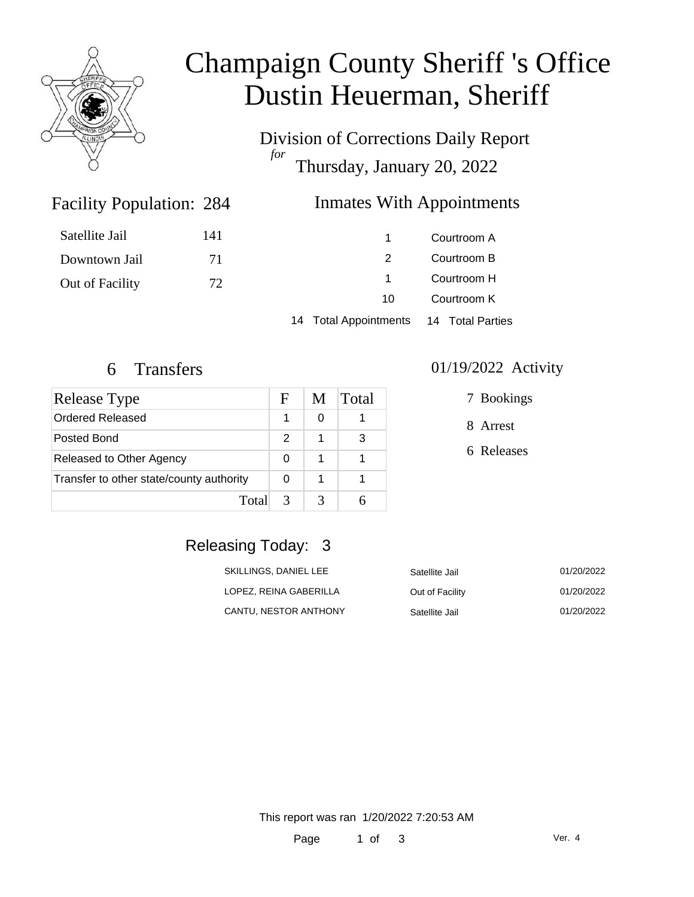

# Champaign County Sheriff 's Office Dustin Heuerman, Sheriff

Division of Corrections Daily Report *for* Thursday, January 20, 2022

### **Inmates With Appointments**

| Satellite Jail  | 141 |     | Courtroom A |
|-----------------|-----|-----|-------------|
| Downtown Jail   | 71  |     | Courtroom B |
| Out of Facility | 72  |     | Courtroom H |
|                 |     | 10. | Courtroom K |
|                 |     |     |             |

14 Total Appointments 14 Total Parties

Facility Population: 284

| Release Type                             | F             | M | Total |
|------------------------------------------|---------------|---|-------|
| Ordered Released                         |               |   |       |
| Posted Bond                              | 2             | 1 | З     |
| Released to Other Agency                 | 0             |   |       |
| Transfer to other state/county authority | 0             | 1 |       |
| Total                                    | $\mathcal{R}$ |   |       |

#### 6 Transfers 01/19/2022 Activity

7 Bookings

8 Arrest

6 Releases

# Releasing Today: 3

| SKILLINGS, DANIEL LEE  | Satellite Jail  | 01/20/2022 |
|------------------------|-----------------|------------|
| LOPEZ. REINA GABERILLA | Out of Facility | 01/20/2022 |
| CANTU. NESTOR ANTHONY  | Satellite Jail  | 01/20/2022 |

This report was ran 1/20/2022 7:20:53 AM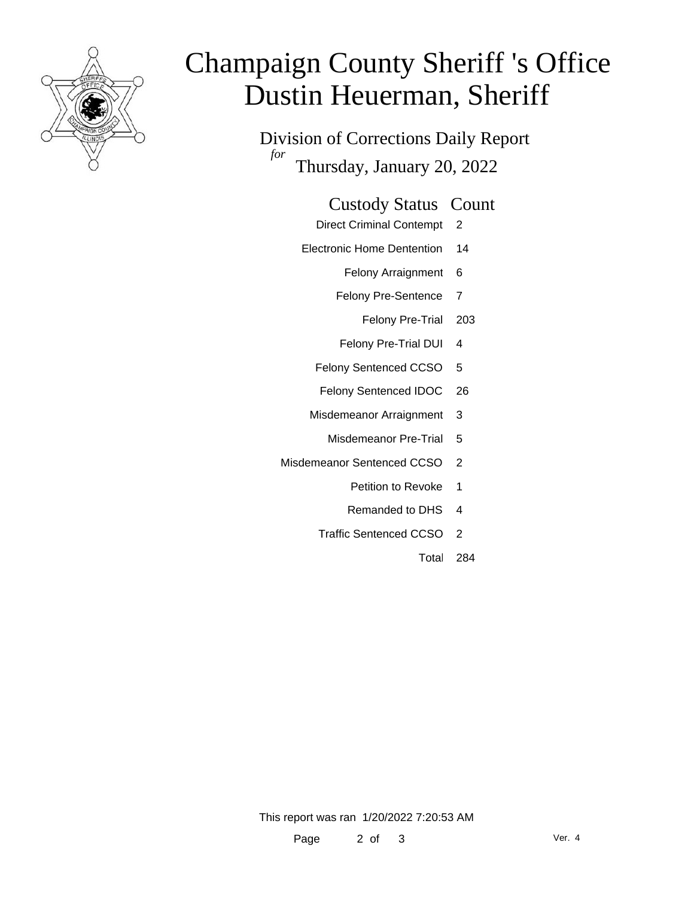

# Champaign County Sheriff 's Office Dustin Heuerman, Sheriff

Division of Corrections Daily Report *for* Thursday, January 20, 2022

#### Custody Status Count

- Direct Criminal Contempt 2
- Electronic Home Dentention 14
	- Felony Arraignment 6
	- Felony Pre-Sentence 7
		- Felony Pre-Trial 203
	- Felony Pre-Trial DUI 4
	- Felony Sentenced CCSO 5
	- Felony Sentenced IDOC 26
	- Misdemeanor Arraignment 3
		- Misdemeanor Pre-Trial 5
- Misdemeanor Sentenced CCSO 2
	- Petition to Revoke 1
	- Remanded to DHS 4
	- Traffic Sentenced CCSO 2
		- Total 284

This report was ran 1/20/2022 7:20:53 AM